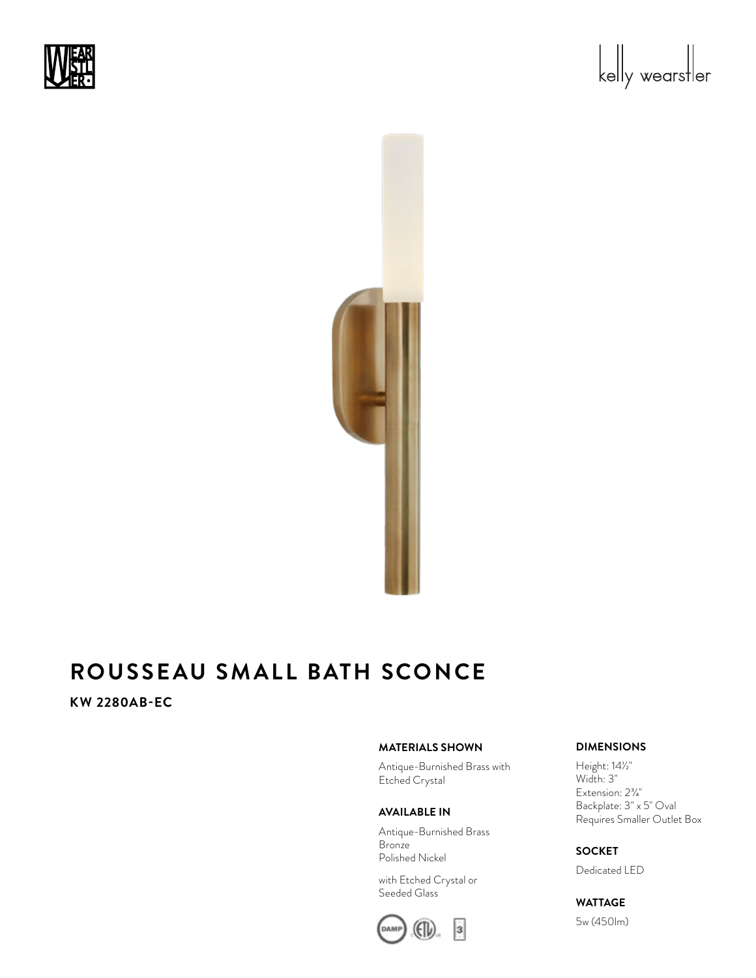





# **KW 2280AB-EC**

## **MATERIALS SHOWN**

Antique-Burnished Brass with Etched Crystal

#### **AVAILABLE IN**

Antique-Burnished Brass **Bronze** Polished Nickel

with Etched Crystal or Seeded Glass



### **DIMENSIONS**

Height: 14<sup>1/2"</sup> Width: 3" Extension:  $2\frac{3}{4}$ " Backplate: 3" x 5" Oval Requires Smaller Outlet Box

### **SOCKET**

Dedicated LED

## **WATTAGE**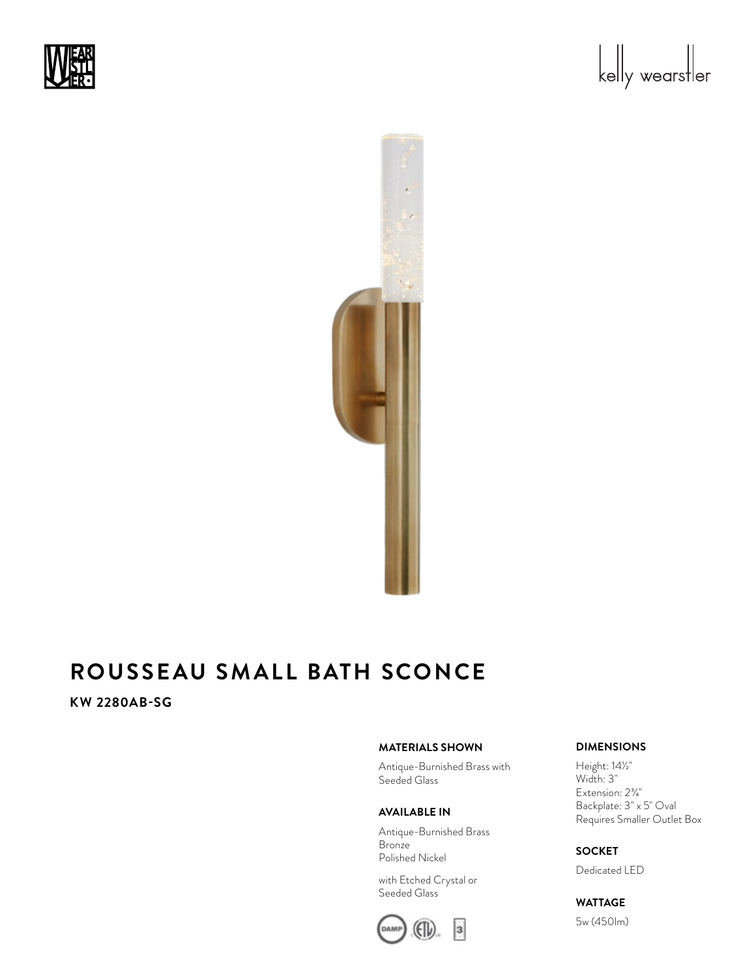





# **KW 2280AB-SG**

### **MATERIALS SHOWN**

Antique-Burnished Brass with Seeded Glass

#### **AVAILABLE IN**

Antique-Burnished Brass **Bronze** Polished Nickel

with Etched Crystal or Seeded Glass



#### **DIMENSIONS**

Height: 14<sup>1/2"</sup> Width: 3" Extension:  $2\frac{3}{4}$ " Backplate: 3" x 5" Oval Requires Smaller Outlet Box

### **SOCKET**

Dedicated LED

## **WATTAGE**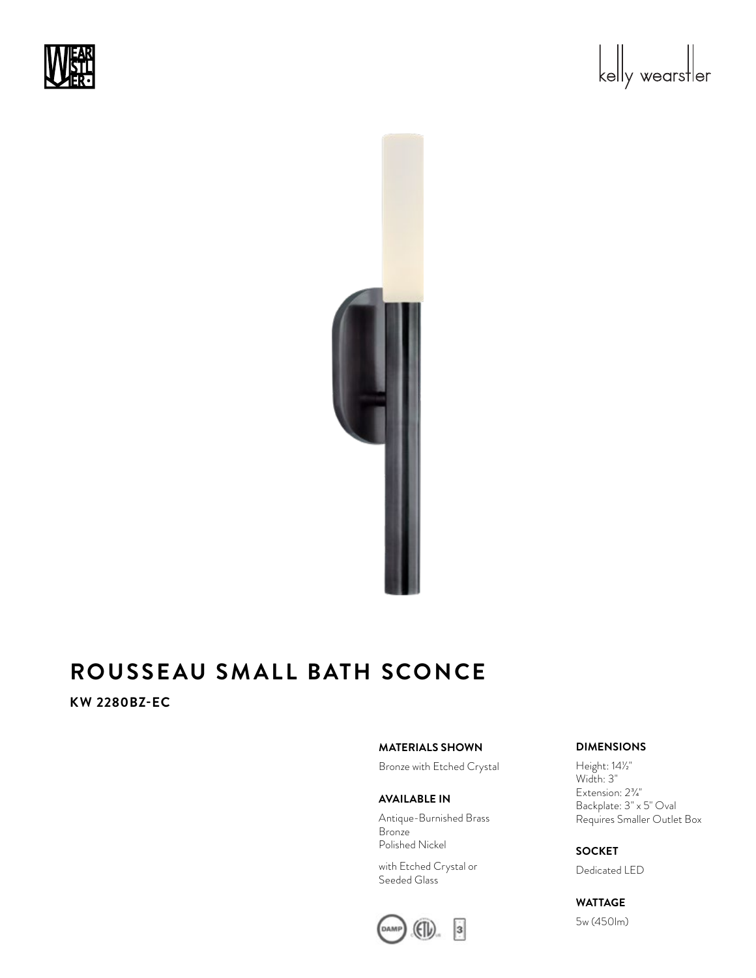





**KW 2280BZ-EC** 

### **MATERIALS SHOWN**

Bronze with Etched Crystal

### **AVAILABLE IN**

Antique-Burnished Brass Bronze Polished Nickel

with Etched Crystal or Seeded Glass



#### **DIMENSIONS**

Height: 14<sup>1/2"</sup> Width: 3" Extension:  $2\frac{3}{4}$ " Backplate: 3" x 5" Oval Requires Smaller Outlet Box

## **SOCKET**

Dedicated LED

**WATTAGE**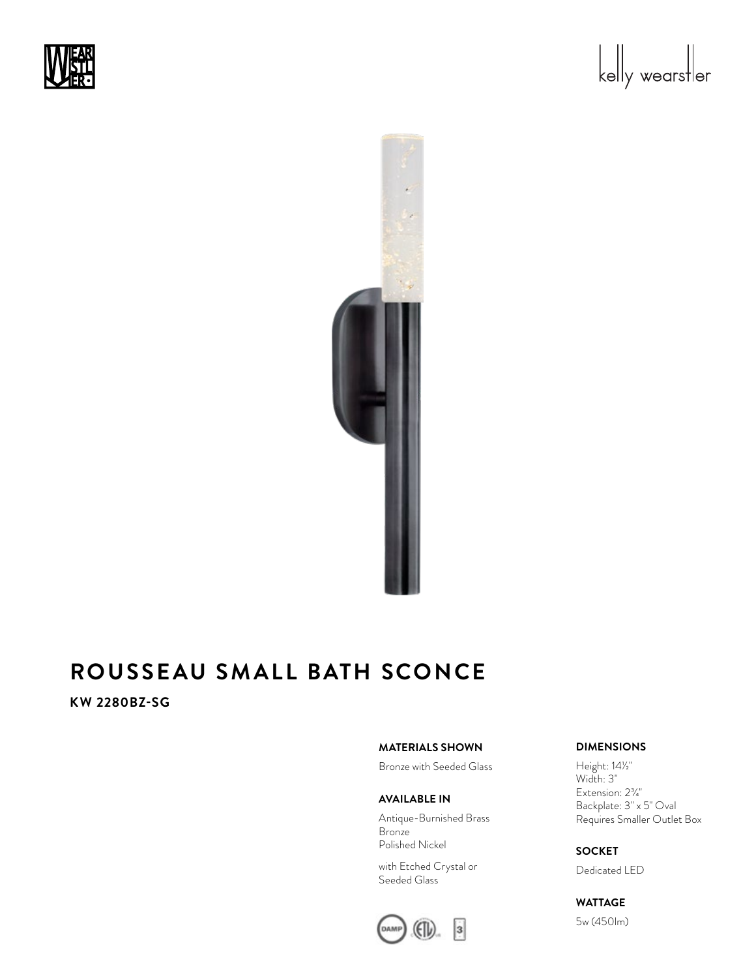





**KW 2280BZ-SG** 

### **MATERIALS SHOWN**

Bronze with Seeded Glass

#### **AVAILABLE IN**

Antique-Burnished Brass Bronze Polished Nickel

with Etched Crystal or Seeded Glass



#### **DIMENSIONS**

Height: 14<sup>1/2"</sup> Width: 3" Extension:  $2\frac{3}{4}$ " Backplate: 3" x 5" Oval Requires Smaller Outlet Box

## **SOCKET**

Dedicated LED

**WATTAGE**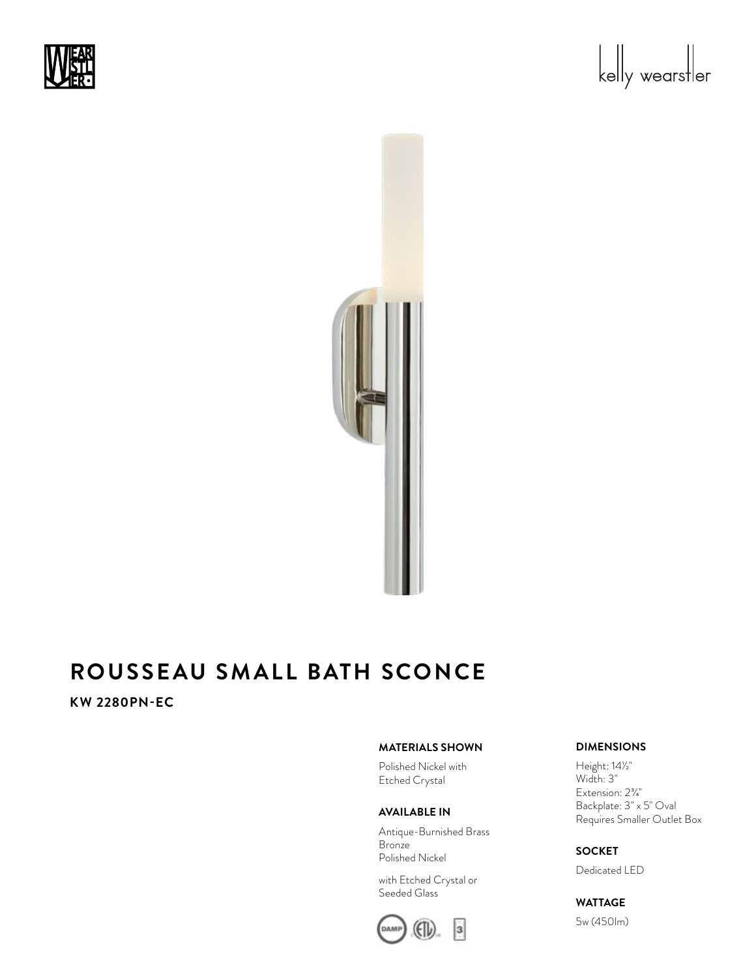





# **KW 2280PN-EC**

## **MATERIALS SHOWN**

Polished Nickel with Etched Crystal

#### **AVAILABLE IN**

Antique-Burnished Brass **Bronze** Polished Nickel

with Etched Crystal or Seeded Glass



### **DIMENSIONS**

Height: 14<sup>1/2"</sup> Width: 3" Extension:  $2\frac{3}{4}$ " Backplate: 3" x 5" Oval Requires Smaller Outlet Box

#### **SOCKET**

Dedicated LED

# **WATTAGE**